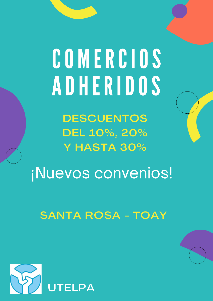# COMERCIOS ADHERIDOS

**DESCUENTOS** DEL 10%, 20% Y HASTA 30%

¡Nuevos convenios!

SANTA ROSA - TOAY

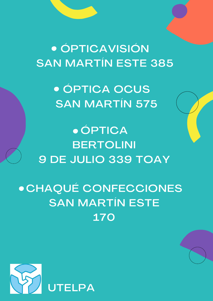· ÓPTICAVISIÓN **SAN MARTÍN ESTE 385** 

> **• ÓPTICA OCUS SAN MARTÍN 575**

**• ÓPTICA BERTOLINI** 9 DE JULIO 339 TOAY

• CHAQUÉ CONFECCIONES **SAN MARTÍN ESTE 170** 

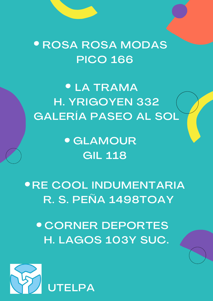### **• ROSA ROSA MODAS PICO 166**

**• LA TRAMA** H. YRIGOYEN 332 **GALERÍA PASEO AL SOL** 

> **• GLAMOUR GIL 118**

**. RE COOL INDUMENTARIA** R. S. PEÑA 1498TOAY

**• CORNER DEPORTES** H. LAGOS 103Y SUC.

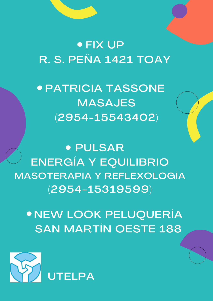### FIX UP R. S. PEÑA 1421 TOAY

PATRICIA TASSONE MASAJES (2954-15543402)

**• PULSAR** ENERGÍA Y EQUILIBRIO MASOTERAPIA Y REFLEXOLOGÍA (2954-15319599)

NEW LOOK PELUQUERÍA SAN MARTÍN OESTE 188

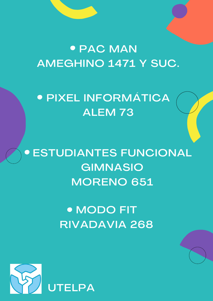## • PAC MAN AMEGHINO 1471 Y SUC.

## **• PIXEL INFORMÁTICA** ALEM 73

**• ESTUDIANTES FUNCIONAL GIMNASIO MORENO 651** 

> · MODO FIT **RIVADAVIA 268**

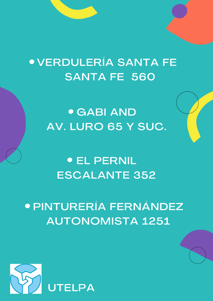## **• VERDULERÍA SANTA FE SANTA FE 560**

**• GABI AND** AV. LURO 65 Y SUC.

### **• EL PERNIL ESCALANTE 352**

## **• PINTURERÍA FERNÁNDEZ AUTONOMISTA 1251**

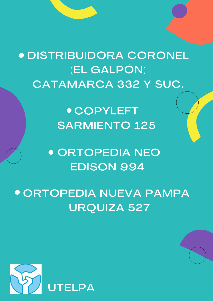**DISTRIBUIDORA CORONEL (EL GALPÓN)** CATAMARCA 332 Y SUC.

> **• COPYLEFT SARMIENTO 125**

**• ORTOPEDIA NEO EDISON 994** 

**• ORTOPEDIA NUEVA PAMPA URQUIZA 527**